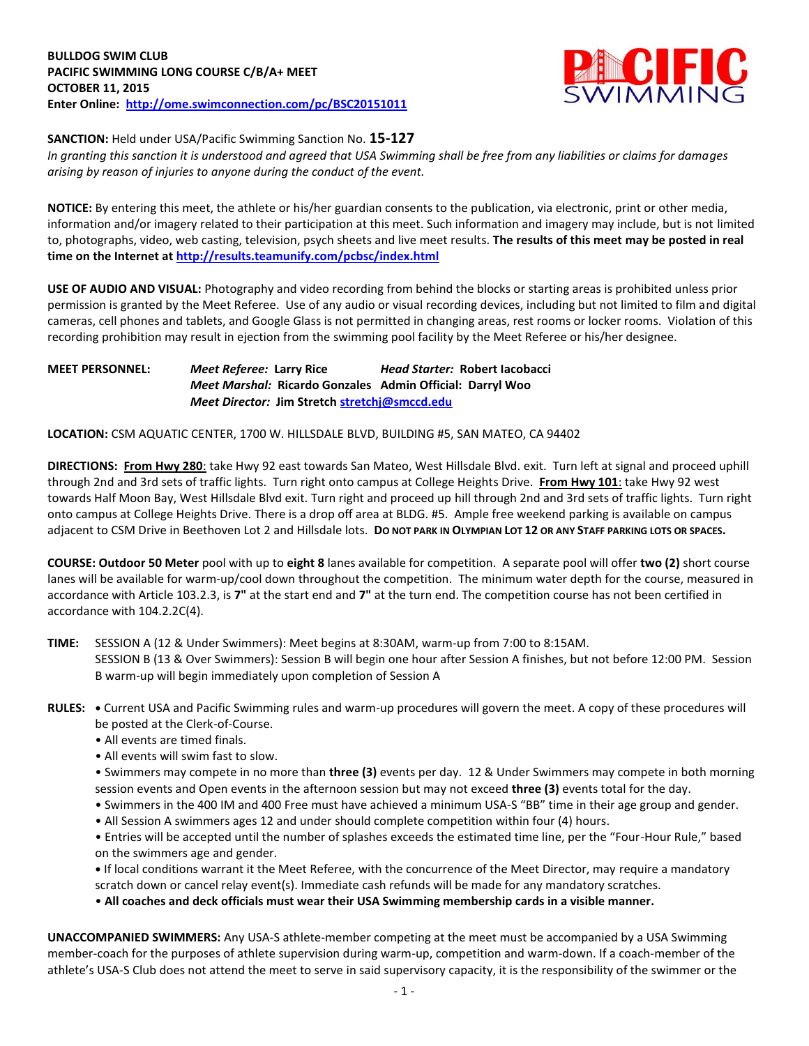

**SANCTION:** Held under USA/Pacific Swimming Sanction No. **15-127**

*In granting this sanction it is understood and agreed that USA Swimming shall be free from any liabilities or claims for damages arising by reason of injuries to anyone during the conduct of the event.*

**NOTICE:** By entering this meet, the athlete or his/her guardian consents to the publication, via electronic, print or other media, information and/or imagery related to their participation at this meet. Such information and imagery may include, but is not limited to, photographs, video, web casting, television, psych sheets and live meet results. **The results of this meet may be posted in real time on the Internet a[t http://results.teamunify.com/pcbsc/index.html](http://results.teamunify.com/pcbsc/index.html)**

**USE OF AUDIO AND VISUAL:** Photography and video recording from behind the blocks or starting areas is prohibited unless prior permission is granted by the Meet Referee. Use of any audio or visual recording devices, including but not limited to film and digital cameras, cell phones and tablets, and Google Glass is not permitted in changing areas, rest rooms or locker rooms. Violation of this recording prohibition may result in ejection from the swimming pool facility by the Meet Referee or his/her designee.

## **MEET PERSONNEL:** *Meet Referee:* **Larry Rice** *Head Starter:* **Robert Iacobacci** *Meet Marshal:* **Ricardo Gonzales Admin Official: Darryl Woo** *Meet Director:* **Jim Stretc[h stretchj@smccd.edu](mailto:stretchj@smccd.edu)**

**LOCATION:** CSM AQUATIC CENTER, 1700 W. HILLSDALE BLVD, BUILDING #5, SAN MATEO, CA 94402

**DIRECTIONS: From Hwy 280**: take Hwy 92 east towards San Mateo, West Hillsdale Blvd. exit. Turn left at signal and proceed uphill through 2nd and 3rd sets of traffic lights. Turn right onto campus at College Heights Drive. **From Hwy 101**: take Hwy 92 west towards Half Moon Bay, West Hillsdale Blvd exit. Turn right and proceed up hill through 2nd and 3rd sets of traffic lights. Turn right onto campus at College Heights Drive. There is a drop off area at BLDG. #5. Ample free weekend parking is available on campus adjacent to CSM Drive in Beethoven Lot 2 and Hillsdale lots. **DO NOT PARK IN OLYMPIAN LOT 12 OR ANY STAFF PARKING LOTS OR SPACES.**

**COURSE: Outdoor 50 Meter** pool with up to **eight 8** lanes available for competition.A separate pool will offer **two (2)** short course lanes will be available for warm-up/cool down throughout the competition. The minimum water depth for the course, measured in accordance with Article 103.2.3, is **7"** at the start end and **7"** at the turn end. The competition course has not been certified in accordance with 104.2.2C(4).

**TIME:** SESSION A (12 & Under Swimmers): Meet begins at 8:30AM, warm-up from 7:00 to 8:15AM. SESSION B (13 & Over Swimmers): Session B will begin one hour after Session A finishes, but not before 12:00 PM. Session B warm-up will begin immediately upon completion of Session A

- **RULES: •** Current USA and Pacific Swimming rules and warm-up procedures will govern the meet. A copy of these procedures will be posted at the Clerk-of-Course.
	- All events are timed finals.
	- All events will swim fast to slow.
	- Swimmers may compete in no more than **three (3)** events per day. 12 & Under Swimmers may compete in both morning session events and Open events in the afternoon session but may not exceed **three (3)** events total for the day.
	- Swimmers in the 400 IM and 400 Free must have achieved a minimum USA-S "BB" time in their age group and gender.
	- All Session A swimmers ages 12 and under should complete competition within four (4) hours.

• Entries will be accepted until the number of splashes exceeds the estimated time line, per the "Four-Hour Rule," based on the swimmers age and gender.

**•** If local conditions warrant it the Meet Referee, with the concurrence of the Meet Director, may require a mandatory scratch down or cancel relay event(s). Immediate cash refunds will be made for any mandatory scratches.

• **All coaches and deck officials must wear their USA Swimming membership cards in a visible manner.** 

**UNACCOMPANIED SWIMMERS:** Any USA-S athlete-member competing at the meet must be accompanied by a USA Swimming member-coach for the purposes of athlete supervision during warm-up, competition and warm-down. If a coach-member of the athlete's USA-S Club does not attend the meet to serve in said supervisory capacity, it is the responsibility of the swimmer or the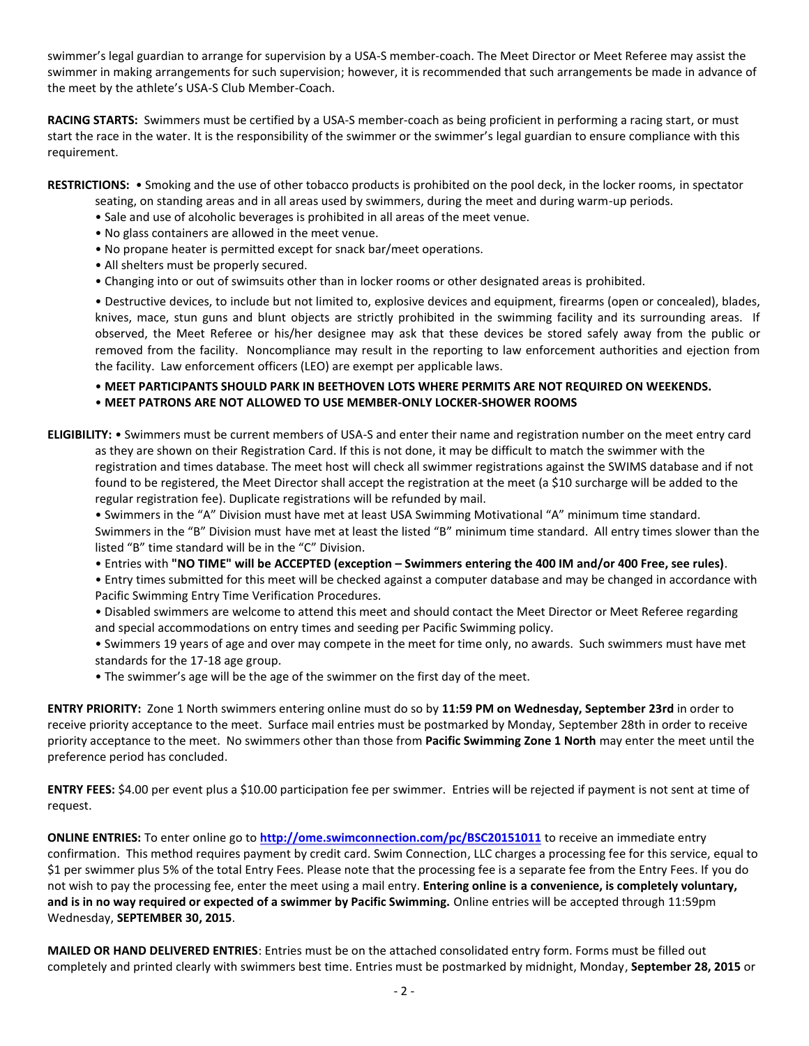swimmer's legal guardian to arrange for supervision by a USA-S member-coach. The Meet Director or Meet Referee may assist the swimmer in making arrangements for such supervision; however, it is recommended that such arrangements be made in advance of the meet by the athlete's USA-S Club Member-Coach.

**RACING STARTS:** Swimmers must be certified by a USA-S member-coach as being proficient in performing a racing start, or must start the race in the water. It is the responsibility of the swimmer or the swimmer's legal guardian to ensure compliance with this requirement.

**RESTRICTIONS:** • Smoking and the use of other tobacco products is prohibited on the pool deck, in the locker rooms, in spectator

- seating, on standing areas and in all areas used by swimmers, during the meet and during warm-up periods.
- Sale and use of alcoholic beverages is prohibited in all areas of the meet venue.
- No glass containers are allowed in the meet venue.
- No propane heater is permitted except for snack bar/meet operations.
- All shelters must be properly secured.
- Changing into or out of swimsuits other than in locker rooms or other designated areas is prohibited.

• Destructive devices, to include but not limited to, explosive devices and equipment, firearms (open or concealed), blades, knives, mace, stun guns and blunt objects are strictly prohibited in the swimming facility and its surrounding areas. If observed, the Meet Referee or his/her designee may ask that these devices be stored safely away from the public or removed from the facility. Noncompliance may result in the reporting to law enforcement authorities and ejection from the facility. Law enforcement officers (LEO) are exempt per applicable laws.

## • **MEET PARTICIPANTS SHOULD PARK IN BEETHOVEN LOTS WHERE PERMITS ARE NOT REQUIRED ON WEEKENDS.** • **MEET PATRONS ARE NOT ALLOWED TO USE MEMBER-ONLY LOCKER-SHOWER ROOMS**

**ELIGIBILITY:** • Swimmers must be current members of USA-S and enter their name and registration number on the meet entry card as they are shown on their Registration Card. If this is not done, it may be difficult to match the swimmer with the registration and times database. The meet host will check all swimmer registrations against the SWIMS database and if not found to be registered, the Meet Director shall accept the registration at the meet (a \$10 surcharge will be added to the regular registration fee). Duplicate registrations will be refunded by mail.

• Swimmers in the "A" Division must have met at least USA Swimming Motivational "A" minimum time standard. Swimmers in the "B" Division must have met at least the listed "B" minimum time standard. All entry times slower than the listed "B" time standard will be in the "C" Division.

• Entries with **"NO TIME" will be ACCEPTED (exception – Swimmers entering the 400 IM and/or 400 Free, see rules)**.

• Entry times submitted for this meet will be checked against a computer database and may be changed in accordance with Pacific Swimming Entry Time Verification Procedures.

• Disabled swimmers are welcome to attend this meet and should contact the Meet Director or Meet Referee regarding and special accommodations on entry times and seeding per Pacific Swimming policy.

- Swimmers 19 years of age and over may compete in the meet for time only, no awards. Such swimmers must have met standards for the 17-18 age group.
- The swimmer's age will be the age of the swimmer on the first day of the meet.

**ENTRY PRIORITY:** Zone 1 North swimmers entering online must do so by **11:59 PM on Wednesday, September 23rd** in order to receive priority acceptance to the meet. Surface mail entries must be postmarked by Monday, September 28th in order to receive priority acceptance to the meet. No swimmers other than those from **Pacific Swimming Zone 1 North** may enter the meet until the preference period has concluded.

**ENTRY FEES:** \$4.00 per event plus a \$10.00 participation fee per swimmer. Entries will be rejected if payment is not sent at time of request.

**ONLINE ENTRIES:** To enter online go to **<http://ome.swimconnection.com/pc/BSC20151011>** to receive an immediate entry confirmation. This method requires payment by credit card. Swim Connection, LLC charges a processing fee for this service, equal to \$1 per swimmer plus 5% of the total Entry Fees. Please note that the processing fee is a separate fee from the Entry Fees. If you do not wish to pay the processing fee, enter the meet using a mail entry. **Entering online is a convenience, is completely voluntary, and is in no way required or expected of a swimmer by Pacific Swimming.** Online entries will be accepted through 11:59pm Wednesday, **SEPTEMBER 30, 2015**.

**MAILED OR HAND DELIVERED ENTRIES**: Entries must be on the attached consolidated entry form. Forms must be filled out completely and printed clearly with swimmers best time. Entries must be postmarked by midnight, Monday, **September 28, 2015** or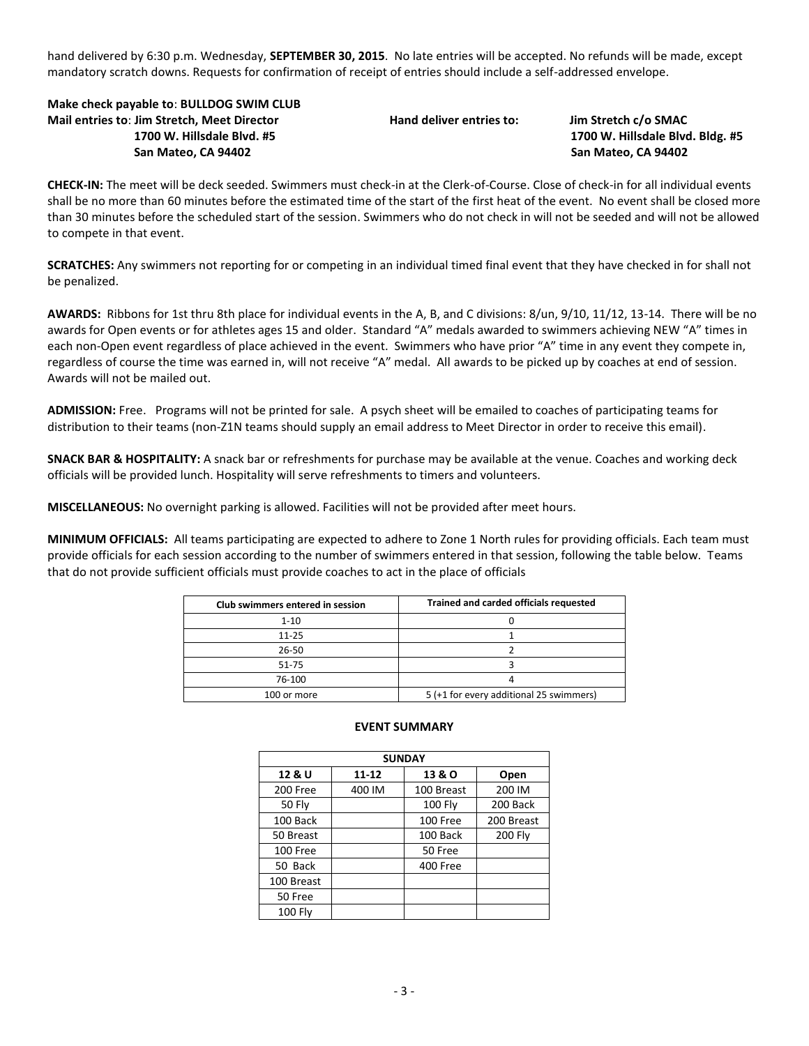hand delivered by 6:30 p.m. Wednesday, **SEPTEMBER 30, 2015**. No late entries will be accepted. No refunds will be made, except mandatory scratch downs. Requests for confirmation of receipt of entries should include a self-addressed envelope.

**Make check payable to**: **BULLDOG SWIM CLUB Mail entries to**: **Jim Stretch, Meet Director Hand deliver entries to: Jim Stretch c/o SMAC 1700 W. Hillsdale Blvd. #5 1700 W. Hillsdale Blvd. Bldg. #5 San Mateo, CA 94402 San Mateo, CA 94402**

**CHECK-IN:** The meet will be deck seeded. Swimmers must check-in at the Clerk-of-Course. Close of check-in for all individual events shall be no more than 60 minutes before the estimated time of the start of the first heat of the event. No event shall be closed more than 30 minutes before the scheduled start of the session. Swimmers who do not check in will not be seeded and will not be allowed to compete in that event.

**SCRATCHES:** Any swimmers not reporting for or competing in an individual timed final event that they have checked in for shall not be penalized.

**AWARDS:** Ribbons for 1st thru 8th place for individual events in the A, B, and C divisions: 8/un, 9/10, 11/12, 13-14. There will be no awards for Open events or for athletes ages 15 and older. Standard "A" medals awarded to swimmers achieving NEW "A" times in each non-Open event regardless of place achieved in the event. Swimmers who have prior "A" time in any event they compete in, regardless of course the time was earned in, will not receive "A" medal. All awards to be picked up by coaches at end of session. Awards will not be mailed out.

**ADMISSION:** Free. Programs will not be printed for sale. A psych sheet will be emailed to coaches of participating teams for distribution to their teams (non-Z1N teams should supply an email address to Meet Director in order to receive this email).

**SNACK BAR & HOSPITALITY:** A snack bar or refreshments for purchase may be available at the venue. Coaches and working deck officials will be provided lunch. Hospitality will serve refreshments to timers and volunteers.

**MISCELLANEOUS:** No overnight parking is allowed. Facilities will not be provided after meet hours.

**MINIMUM OFFICIALS:** All teams participating are expected to adhere to Zone 1 North rules for providing officials. Each team must provide officials for each session according to the number of swimmers entered in that session, following the table below. Teams that do not provide sufficient officials must provide coaches to act in the place of officials

| Club swimmers entered in session | Trained and carded officials requested  |
|----------------------------------|-----------------------------------------|
| $1 - 10$                         |                                         |
| $11 - 25$                        |                                         |
| 26-50                            |                                         |
| 51-75                            |                                         |
| 76-100                           |                                         |
| 100 or more                      | 5 (+1 for every additional 25 swimmers) |

| <b>SUNDAY</b>  |        |                |                |  |  |  |  |  |  |
|----------------|--------|----------------|----------------|--|--|--|--|--|--|
| 12 & U         | 11-12  | 13 & O         | Open           |  |  |  |  |  |  |
| 200 Free       | 400 IM | 100 Breast     | 200 IM         |  |  |  |  |  |  |
| <b>50 Fly</b>  |        | <b>100 Flv</b> | 200 Back       |  |  |  |  |  |  |
| 100 Back       |        | 100 Free       | 200 Breast     |  |  |  |  |  |  |
| 50 Breast      |        | 100 Back       | <b>200 Flv</b> |  |  |  |  |  |  |
| 100 Free       |        | 50 Free        |                |  |  |  |  |  |  |
| 50 Back        |        | 400 Free       |                |  |  |  |  |  |  |
| 100 Breast     |        |                |                |  |  |  |  |  |  |
| 50 Free        |        |                |                |  |  |  |  |  |  |
| <b>100 Fly</b> |        |                |                |  |  |  |  |  |  |

## **EVENT SUMMARY**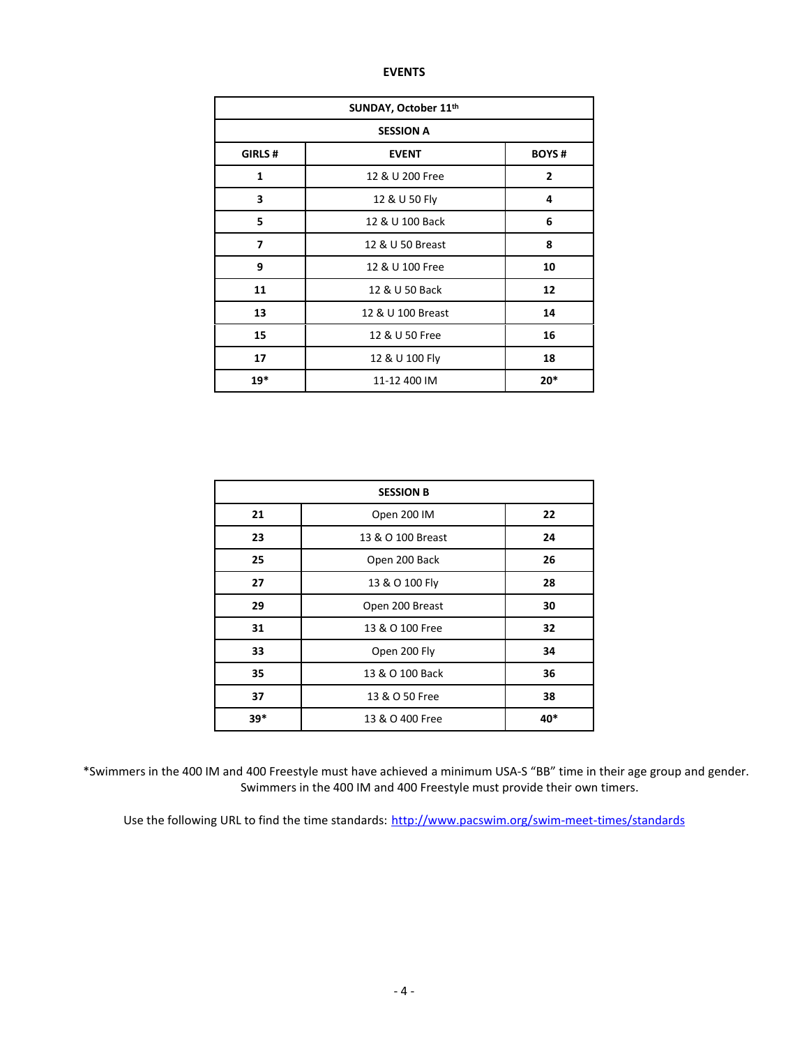## **EVENTS**

| SUNDAY, October 11th |                   |                |  |  |  |  |
|----------------------|-------------------|----------------|--|--|--|--|
| <b>SESSION A</b>     |                   |                |  |  |  |  |
| GIRLS#               | <b>BOYS#</b>      |                |  |  |  |  |
| 1                    | 12 & U 200 Free   | $\overline{2}$ |  |  |  |  |
| 3                    | 12 & U 50 Fly     | 4              |  |  |  |  |
| 5                    | 12 & U 100 Back   | 6              |  |  |  |  |
| 7                    | 12 & U 50 Breast  | 8              |  |  |  |  |
| 9                    | 12 & U 100 Free   | 10             |  |  |  |  |
| 11                   | 12 & U 50 Back    | 12             |  |  |  |  |
| 13                   | 12 & U 100 Breast | 14             |  |  |  |  |
| 15                   | 12 & U 50 Free    | 16             |  |  |  |  |
| 17                   | 12 & U 100 Fly    | 18             |  |  |  |  |
| $19*$                | 11-12 400 IM      | $20*$          |  |  |  |  |

| <b>SESSION B</b> |                   |     |  |  |  |  |
|------------------|-------------------|-----|--|--|--|--|
| 21               | Open 200 IM       | 22  |  |  |  |  |
| 23               | 13 & O 100 Breast | 24  |  |  |  |  |
| 25               | Open 200 Back     | 26  |  |  |  |  |
| 27               | 13 & O 100 Fly    | 28  |  |  |  |  |
| 29               | Open 200 Breast   | 30  |  |  |  |  |
| 31               | 13 & O 100 Free   | 32  |  |  |  |  |
| 33               | Open 200 Fly      | 34  |  |  |  |  |
| 35               | 13 & O 100 Back   | 36  |  |  |  |  |
| 37               | 13 & O 50 Free    | 38  |  |  |  |  |
| $39*$            | 13 & O 400 Free   | 40* |  |  |  |  |

\*Swimmers in the 400 IM and 400 Freestyle must have achieved a minimum USA-S "BB" time in their age group and gender. Swimmers in the 400 IM and 400 Freestyle must provide their own timers.

Use the following URL to find the time standards: <http://www.pacswim.org/swim-meet-times/standards>